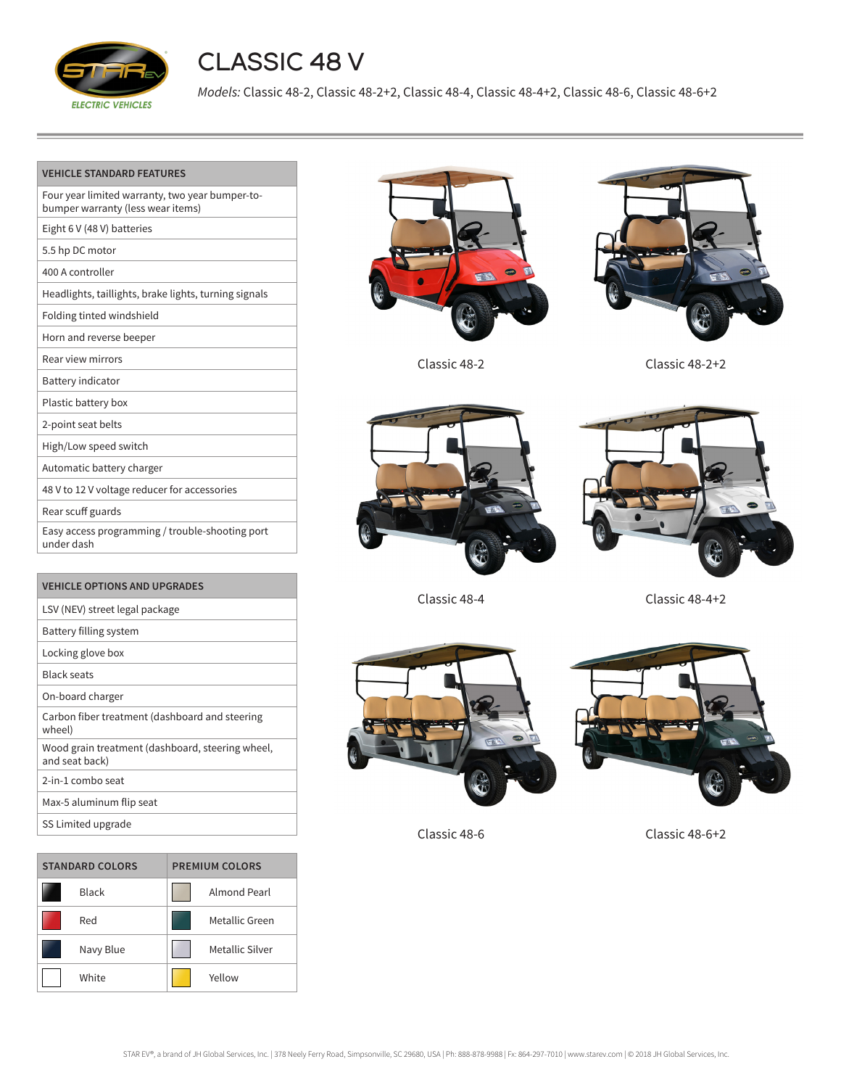

## CLASSIC 48 V

*Models:* Classic 48-2, Classic 48-2+2, Classic 48-4, Classic 48-4+2, Classic 48-6, Classic 48-6+2

| <b>VEHICLE STANDARD FEATURES</b>                                                     |
|--------------------------------------------------------------------------------------|
| Four year limited warranty, two year bumper-to-<br>bumper warranty (less wear items) |
| Eight 6 V (48 V) batteries                                                           |
| 5.5 hp DC motor                                                                      |
| 400 A controller                                                                     |
| Headlights, taillights, brake lights, turning signals                                |
| Folding tinted windshield                                                            |
| Horn and reverse beeper                                                              |
| Rear view mirrors                                                                    |
| <b>Battery indicator</b>                                                             |
| Plastic battery box                                                                  |
| 2-point seat belts                                                                   |
| High/Low speed switch                                                                |
| Automatic battery charger                                                            |
| 48 V to 12 V voltage reducer for accessories                                         |
| Rear scuff guards                                                                    |
| Easy access programming / trouble-shooting port<br>under dash                        |
|                                                                                      |

| VEHICLE OPTIONS AND UPGRADES                                       |
|--------------------------------------------------------------------|
| LSV (NEV) street legal package                                     |
| Battery filling system                                             |
| Locking glove box                                                  |
| <b>Black seats</b>                                                 |
| On-board charger                                                   |
| Carbon fiber treatment (dashboard and steering<br>wheel)           |
| Wood grain treatment (dashboard, steering wheel,<br>and seat back) |
| 2-in-1 combo seat                                                  |
| Max-5 aluminum flip seat                                           |
| SS Limited upgrade                                                 |

| <b>STANDARD COLORS</b> |              | <b>PREMIUM COLORS</b> |                 |
|------------------------|--------------|-----------------------|-----------------|
|                        | <b>Black</b> |                       | Almond Pearl    |
|                        | Red          |                       | Metallic Green  |
|                        | Navy Blue    |                       | Metallic Silver |
|                        | White        |                       | Yellow          |









Classic 48-2 Classic 48-2+2



Classic 48-4 Classic 48-4+2





Classic 48-6 Classic 48-6+2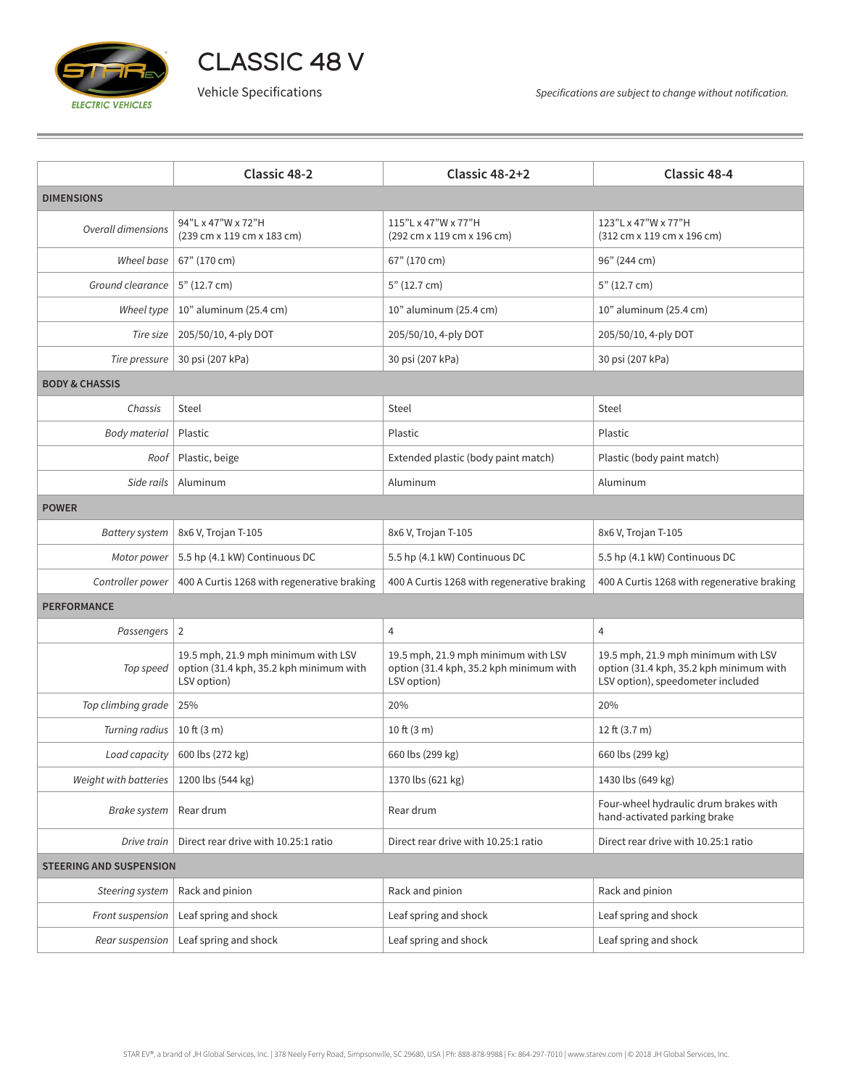

CLASSIC 48 V

|                                | <b>Classic 48-2</b>                                                                           | Classic 48-2+2                                                                                | Classic 48-4                                                                                                        |  |  |  |
|--------------------------------|-----------------------------------------------------------------------------------------------|-----------------------------------------------------------------------------------------------|---------------------------------------------------------------------------------------------------------------------|--|--|--|
| <b>DIMENSIONS</b>              |                                                                                               |                                                                                               |                                                                                                                     |  |  |  |
| <b>Overall dimensions</b>      | 94"L x 47"W x 72"H<br>(239 cm x 119 cm x 183 cm)                                              | 115"L x 47"W x 77"H<br>(292 cm x 119 cm x 196 cm)                                             | 123"L x 47"W x 77"H<br>(312 cm x 119 cm x 196 cm)                                                                   |  |  |  |
| Wheel base                     | 67" (170 cm)                                                                                  | 67" (170 cm)                                                                                  | 96" (244 cm)                                                                                                        |  |  |  |
| Ground clearance               | 5" (12.7 cm)                                                                                  | 5" (12.7 cm)                                                                                  | 5" (12.7 cm)                                                                                                        |  |  |  |
| Wheel type                     | 10" aluminum (25.4 cm)                                                                        | 10" aluminum (25.4 cm)                                                                        | 10" aluminum (25.4 cm)                                                                                              |  |  |  |
| Tire size                      | 205/50/10, 4-ply DOT                                                                          | 205/50/10, 4-ply DOT                                                                          | 205/50/10, 4-ply DOT                                                                                                |  |  |  |
| Tire pressure                  | 30 psi (207 kPa)                                                                              | 30 psi (207 kPa)                                                                              | 30 psi (207 kPa)                                                                                                    |  |  |  |
| <b>BODY &amp; CHASSIS</b>      |                                                                                               |                                                                                               |                                                                                                                     |  |  |  |
| Chassis                        | Steel                                                                                         | Steel                                                                                         | Steel                                                                                                               |  |  |  |
| <b>Body material</b>           | Plastic                                                                                       | Plastic                                                                                       | Plastic                                                                                                             |  |  |  |
| Roof                           | Plastic, beige                                                                                | Extended plastic (body paint match)                                                           | Plastic (body paint match)                                                                                          |  |  |  |
| Side rails                     | Aluminum                                                                                      | Aluminum                                                                                      | Aluminum                                                                                                            |  |  |  |
| <b>POWER</b>                   |                                                                                               |                                                                                               |                                                                                                                     |  |  |  |
| <b>Battery system</b>          | 8x6 V, Trojan T-105                                                                           | 8x6 V, Trojan T-105                                                                           | 8x6 V, Trojan T-105                                                                                                 |  |  |  |
| Motor power                    | 5.5 hp (4.1 kW) Continuous DC                                                                 | 5.5 hp (4.1 kW) Continuous DC                                                                 | 5.5 hp (4.1 kW) Continuous DC                                                                                       |  |  |  |
| Controller power               | 400 A Curtis 1268 with regenerative braking                                                   | 400 A Curtis 1268 with regenerative braking                                                   | 400 A Curtis 1268 with regenerative braking                                                                         |  |  |  |
| <b>PERFORMANCE</b>             |                                                                                               |                                                                                               |                                                                                                                     |  |  |  |
| Passengers   2                 |                                                                                               | 4                                                                                             | 4                                                                                                                   |  |  |  |
| Top speed                      | 19.5 mph, 21.9 mph minimum with LSV<br>option (31.4 kph, 35.2 kph minimum with<br>LSV option) | 19.5 mph, 21.9 mph minimum with LSV<br>option (31.4 kph, 35.2 kph minimum with<br>LSV option) | 19.5 mph, 21.9 mph minimum with LSV<br>option (31.4 kph, 35.2 kph minimum with<br>LSV option), speedometer included |  |  |  |
| Top climbing grade             | 25%                                                                                           | 20%                                                                                           | 20%                                                                                                                 |  |  |  |
| Turning radius                 | 10 ft $(3 m)$                                                                                 | 10 ft $(3 m)$                                                                                 | 12 ft (3.7 m)                                                                                                       |  |  |  |
| Load capacity                  | 600 lbs (272 kg)                                                                              | 660 lbs (299 kg)                                                                              | 660 lbs (299 kg)                                                                                                    |  |  |  |
| Weight with batteries          | 1200 lbs (544 kg)                                                                             | 1370 lbs (621 kg)                                                                             | 1430 lbs (649 kg)                                                                                                   |  |  |  |
| Brake system                   | Rear drum                                                                                     | Rear drum                                                                                     | Four-wheel hydraulic drum brakes with<br>hand-activated parking brake                                               |  |  |  |
| Drive train                    | Direct rear drive with 10.25:1 ratio                                                          | Direct rear drive with 10.25:1 ratio                                                          | Direct rear drive with 10.25:1 ratio                                                                                |  |  |  |
| <b>STEERING AND SUSPENSION</b> |                                                                                               |                                                                                               |                                                                                                                     |  |  |  |
| Steering system                | Rack and pinion                                                                               | Rack and pinion                                                                               | Rack and pinion                                                                                                     |  |  |  |
| Front suspension               | Leaf spring and shock                                                                         | Leaf spring and shock                                                                         | Leaf spring and shock                                                                                               |  |  |  |
| Rear suspension                | Leaf spring and shock                                                                         | Leaf spring and shock                                                                         | Leaf spring and shock                                                                                               |  |  |  |